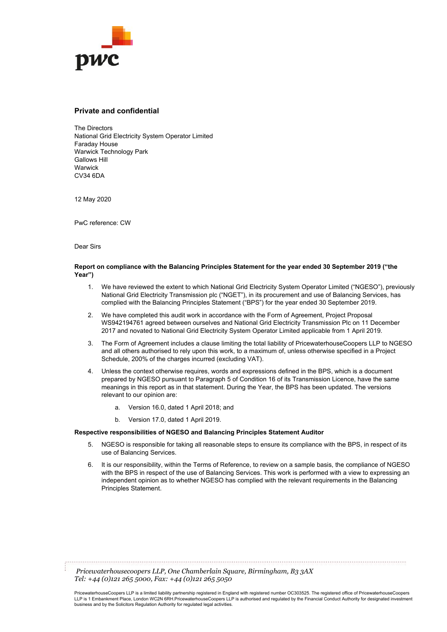

#### **Private and confidential**

The Directors National Grid Electricity System Operator Limited Faraday House Warwick Technology Park Gallows Hill **Warwick** CV34 6DA

12 May 2020

PwC reference: CW

Dear Sirs

#### **Report on compliance with the Balancing Principles Statement for the year ended 30 September 2019 ("the Year")**

- 1. We have reviewed the extent to which National Grid Electricity System Operator Limited ("NGESO"), previously National Grid Electricity Transmission plc ("NGET"), in its procurement and use of Balancing Services, has complied with the Balancing Principles Statement ("BPS") for the year ended 30 September 2019.
- 2. We have completed this audit work in accordance with the Form of Agreement, Project Proposal WS942194761 agreed between ourselves and National Grid Electricity Transmission Plc on 11 December 2017 and novated to National Grid Electricity System Operator Limited applicable from 1 April 2019.
- 3. The Form of Agreement includes a clause limiting the total liability of PricewaterhouseCoopers LLP to NGESO and all others authorised to rely upon this work, to a maximum of, unless otherwise specified in a Project Schedule, 200% of the charges incurred (excluding VAT).
- 4. Unless the context otherwise requires, words and expressions defined in the BPS, which is a document prepared by NGESO pursuant to Paragraph 5 of Condition 16 of its Transmission Licence, have the same meanings in this report as in that statement. During the Year, the BPS has been updated. The versions relevant to our opinion are:
	- a. Version 16.0, dated 1 April 2018; and
	- b. Version 17.0, dated 1 April 2019.

#### **Respective responsibilities of NGESO and Balancing Principles Statement Auditor**

- 5. NGESO is responsible for taking all reasonable steps to ensure its compliance with the BPS, in respect of its use of Balancing Services.
- 6. It is our responsibility, within the Terms of Reference, to review on a sample basis, the compliance of NGESO with the BPS in respect of the use of Balancing Services. This work is performed with a view to expressing an independent opinion as to whether NGESO has complied with the relevant requirements in the Balancing Principles Statement.

*Pricewaterhousecoopers LLP, One Chamberlain Square, Birmingham, B3 3AX Tel: +44 (0)121 265 5000, Fax: +44 (0)121 265 5050*

PricewaterhouseCoopers LLP is a limited liability partnership registered in England with registered number OC303525. The registered office of PricewaterhouseCoopers LLP is 1 Embankment Place, London WC2N 6RH.PricewaterhouseCoopers LLP is authorised and regulated by the Financial Conduct Authority for designated investment business and by the Solicitors Regulation Authority for regulated legal activities.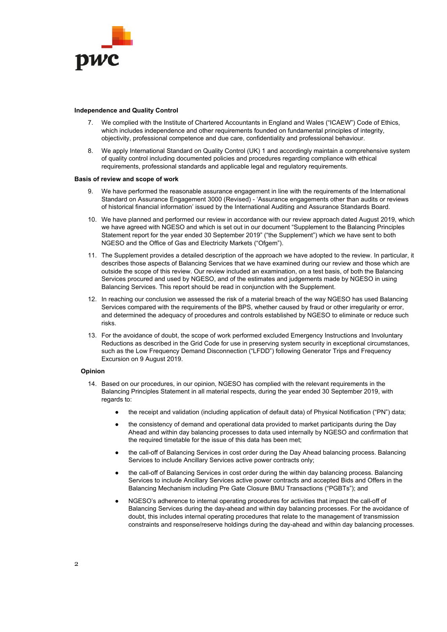

#### **Independence and Quality Control**

- 7. We complied with the Institute of Chartered Accountants in England and Wales ("ICAEW") Code of Ethics, which includes independence and other requirements founded on fundamental principles of integrity, objectivity, professional competence and due care, confidentiality and professional behaviour.
- 8. We apply International Standard on Quality Control (UK) 1 and accordingly maintain a comprehensive system of quality control including documented policies and procedures regarding compliance with ethical requirements, professional standards and applicable legal and regulatory requirements.

#### **Basis of review and scope of work**

- 9. We have performed the reasonable assurance engagement in line with the requirements of the International Standard on Assurance Engagement 3000 (Revised) - 'Assurance engagements other than audits or reviews of historical financial information' issued by the International Auditing and Assurance Standards Board.
- 10. We have planned and performed our review in accordance with our review approach dated August 2019, which we have agreed with NGESO and which is set out in our document "Supplement to the Balancing Principles Statement report for the year ended 30 September 2019" ("the Supplement") which we have sent to both NGESO and the Office of Gas and Electricity Markets ("Ofgem").
- 11. The Supplement provides a detailed description of the approach we have adopted to the review. In particular, it describes those aspects of Balancing Services that we have examined during our review and those which are outside the scope of this review. Our review included an examination, on a test basis, of both the Balancing Services procured and used by NGESO, and of the estimates and judgements made by NGESO in using Balancing Services. This report should be read in conjunction with the Supplement.
- 12. In reaching our conclusion we assessed the risk of a material breach of the way NGESO has used Balancing Services compared with the requirements of the BPS, whether caused by fraud or other irregularity or error, and determined the adequacy of procedures and controls established by NGESO to eliminate or reduce such risks.
- 13. For the avoidance of doubt, the scope of work performed excluded Emergency Instructions and Involuntary Reductions as described in the Grid Code for use in preserving system security in exceptional circumstances, such as the Low Frequency Demand Disconnection ("LFDD") following Generator Trips and Frequency Excursion on 9 August 2019.

#### **Opinion**

- 14. Based on our procedures, in our opinion, NGESO has complied with the relevant requirements in the Balancing Principles Statement in all material respects, during the year ended 30 September 2019, with regards to:
	- the receipt and validation (including application of default data) of Physical Notification ("PN") data;
	- the consistency of demand and operational data provided to market participants during the Day Ahead and within day balancing processes to data used internally by NGESO and confirmation that the required timetable for the issue of this data has been met;
	- the call-off of Balancing Services in cost order during the Day Ahead balancing process. Balancing Services to include Ancillary Services active power contracts only;
	- the call-off of Balancing Services in cost order during the within day balancing process. Balancing Services to include Ancillary Services active power contracts and accepted Bids and Offers in the Balancing Mechanism including Pre Gate Closure BMU Transactions ("PGBTs"); and
	- NGESO's adherence to internal operating procedures for activities that impact the call-off of Balancing Services during the day-ahead and within day balancing processes. For the avoidance of doubt, this includes internal operating procedures that relate to the management of transmission constraints and response/reserve holdings during the day-ahead and within day balancing processes.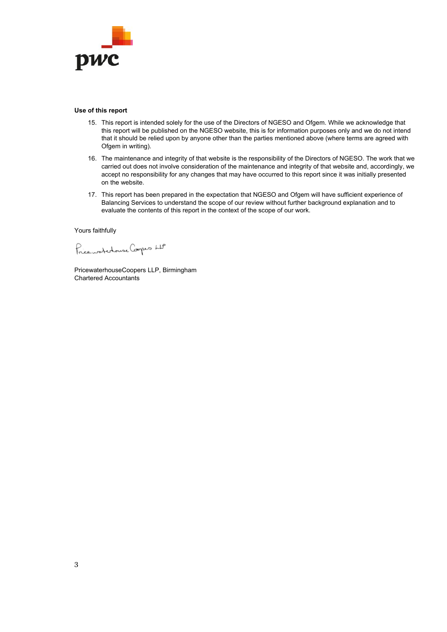

#### **Use of this report**

- 15. This report is intended solely for the use of the Directors of NGESO and Ofgem. While we acknowledge that this report will be published on the NGESO website, this is for information purposes only and we do not intend that it should be relied upon by anyone other than the parties mentioned above (where terms are agreed with Ofgem in writing).
- 16. The maintenance and integrity of that website is the responsibility of the Directors of NGESO. The work that we carried out does not involve consideration of the maintenance and integrity of that website and, accordingly, we accept no responsibility for any changes that may have occurred to this report since it was initially presented on the website.
- 17. This report has been prepared in the expectation that NGESO and Ofgem will have sufficient experience of Balancing Services to understand the scope of our review without further background explanation and to evaluate the contents of this report in the context of the scope of our work.

Yours faithfully

Price workshouse Coopers LP

PricewaterhouseCoopers LLP, Birmingham Chartered Accountants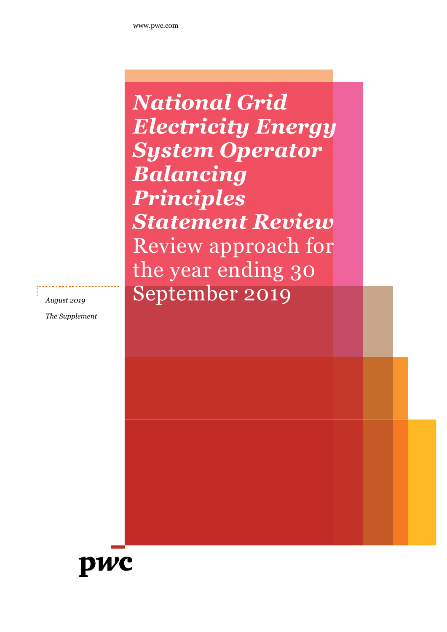*National Grid Electricity Energy System Operator Balancing Principles Statement Review* Review approach for the year ending 30 *August 2019* September 2019

*The Supplement*

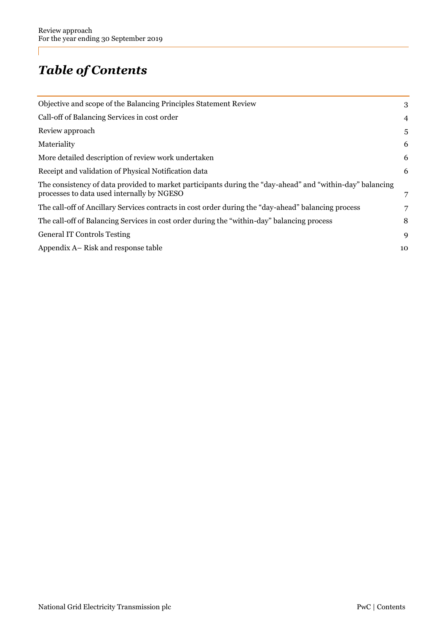## *Table of Contents*

| Objective and scope of the Balancing Principles Statement Review                                                                                        | 3              |
|---------------------------------------------------------------------------------------------------------------------------------------------------------|----------------|
| Call-off of Balancing Services in cost order                                                                                                            | $\overline{4}$ |
| Review approach                                                                                                                                         | 5              |
| Materiality                                                                                                                                             | 6              |
| More detailed description of review work undertaken                                                                                                     | 6              |
| Receipt and validation of Physical Notification data                                                                                                    | 6              |
| The consistency of data provided to market participants during the "day-ahead" and "within-day" balancing<br>processes to data used internally by NGESO | 7              |
| The call-off of Ancillary Services contracts in cost order during the "day-ahead" balancing process                                                     | 7              |
| The call-off of Balancing Services in cost order during the "within-day" balancing process                                                              | 8              |
| <b>General IT Controls Testing</b>                                                                                                                      | 9              |
| Appendix A – Risk and response table                                                                                                                    | 10             |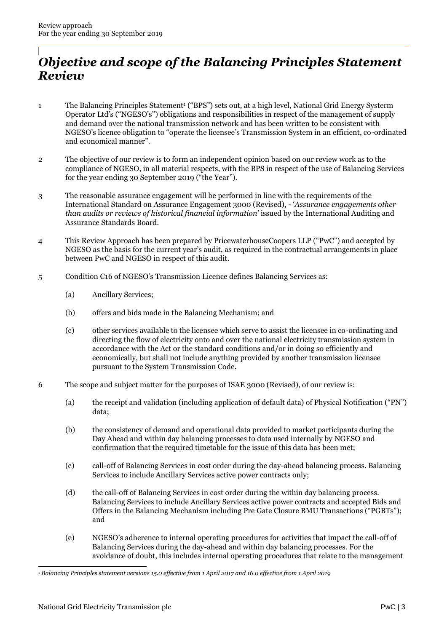### <span id="page-5-0"></span>*Objective and scope of the Balancing Principles Statement Review*

- 1 The Balancing Principles Statement<sup>1</sup> ("BPS") sets out, at a high level, National Grid Energy Systerm Operator Ltd's ("NGESO's") obligations and responsibilities in respect of the management of supply and demand over the national transmission network and has been written to be consistent with NGESO's licence obligation to "operate the licensee's Transmission System in an efficient, co-ordinated and economical manner".
- 2 The objective of our review is to form an independent opinion based on our review work as to the compliance of NGESO, in all material respects, with the BPS in respect of the use of Balancing Services for the year ending 30 September 2019 ("the Year").
- 3 The reasonable assurance engagement will be performed in line with the requirements of the International Standard on Assurance Engagement 3000 (Revised), - '*Assurance engagements other than audits or reviews of historical financial information'* issued by the International Auditing and Assurance Standards Board.
- 4 This Review Approach has been prepared by PricewaterhouseCoopers LLP ("PwC") and accepted by NGESO as the basis for the current year's audit, as required in the contractual arrangements in place between PwC and NGESO in respect of this audit.
- 5 Condition C16 of NGESO's Transmission Licence defines Balancing Services as:
	- (a) Ancillary Services;
	- (b) offers and bids made in the Balancing Mechanism; and
	- (c) other services available to the licensee which serve to assist the licensee in co-ordinating and directing the flow of electricity onto and over the national electricity transmission system in accordance with the Act or the standard conditions and/or in doing so efficiently and economically, but shall not include anything provided by another transmission licensee pursuant to the System Transmission Code.
- 6 The scope and subject matter for the purposes of ISAE 3000 (Revised), of our review is:
	- (a) the receipt and validation (including application of default data) of Physical Notification ("PN") data;
	- (b) the consistency of demand and operational data provided to market participants during the Day Ahead and within day balancing processes to data used internally by NGESO and confirmation that the required timetable for the issue of this data has been met;
	- (c) call-off of Balancing Services in cost order during the day-ahead balancing process. Balancing Services to include Ancillary Services active power contracts only;
	- (d) the call-off of Balancing Services in cost order during the within day balancing process. Balancing Services to include Ancillary Services active power contracts and accepted Bids and Offers in the Balancing Mechanism including Pre Gate Closure BMU Transactions ("PGBTs"); and
	- (e) NGESO's adherence to internal operating procedures for activities that impact the call-off of Balancing Services during the day-ahead and within day balancing processes. For the avoidance of doubt, this includes internal operating procedures that relate to the management

<sup>1</sup> *Balancing Principles statement versions 15.0 effective from 1 April 2017 and 16.0 effective from 1 April 2019*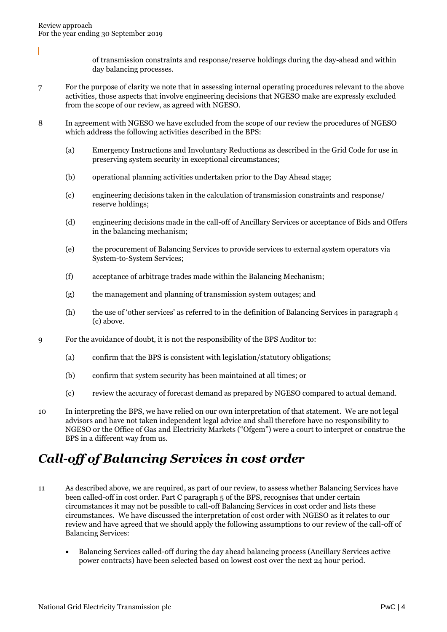of transmission constraints and response/reserve holdings during the day-ahead and within day balancing processes.

- 7 For the purpose of clarity we note that in assessing internal operating procedures relevant to the above activities, those aspects that involve engineering decisions that NGESO make are expressly excluded from the scope of our review, as agreed with NGESO.
- 8 In agreement with NGESO we have excluded from the scope of our review the procedures of NGESO which address the following activities described in the BPS:
	- (a) Emergency Instructions and Involuntary Reductions as described in the Grid Code for use in preserving system security in exceptional circumstances;
	- (b) operational planning activities undertaken prior to the Day Ahead stage;
	- (c) engineering decisions taken in the calculation of transmission constraints and response/ reserve holdings;
	- (d) engineering decisions made in the call-off of Ancillary Services or acceptance of Bids and Offers in the balancing mechanism;
	- (e) the procurement of Balancing Services to provide services to external system operators via System-to-System Services;
	- (f) acceptance of arbitrage trades made within the Balancing Mechanism;
	- (g) the management and planning of transmission system outages; and
	- (h) the use of 'other services' as referred to in the definition of Balancing Services in paragraph 4 (c) above.
- 9 For the avoidance of doubt, it is not the responsibility of the BPS Auditor to:
	- (a) confirm that the BPS is consistent with legislation/statutory obligations;
	- (b) confirm that system security has been maintained at all times; or
	- (c) review the accuracy of forecast demand as prepared by NGESO compared to actual demand.
- 10 In interpreting the BPS, we have relied on our own interpretation of that statement. We are not legal advisors and have not taken independent legal advice and shall therefore have no responsibility to NGESO or the Office of Gas and Electricity Markets ("Ofgem") were a court to interpret or construe the BPS in a different way from us.

## <span id="page-6-0"></span>*Call-off of Balancing Services in cost order*

- 11 As described above, we are required, as part of our review, to assess whether Balancing Services have been called-off in cost order. Part C paragraph 5 of the BPS, recognises that under certain circumstances it may not be possible to call-off Balancing Services in cost order and lists these circumstances. We have discussed the interpretation of cost order with NGESO as it relates to our review and have agreed that we should apply the following assumptions to our review of the call-off of Balancing Services:
	- Balancing Services called-off during the day ahead balancing process (Ancillary Services active power contracts) have been selected based on lowest cost over the next 24 hour period.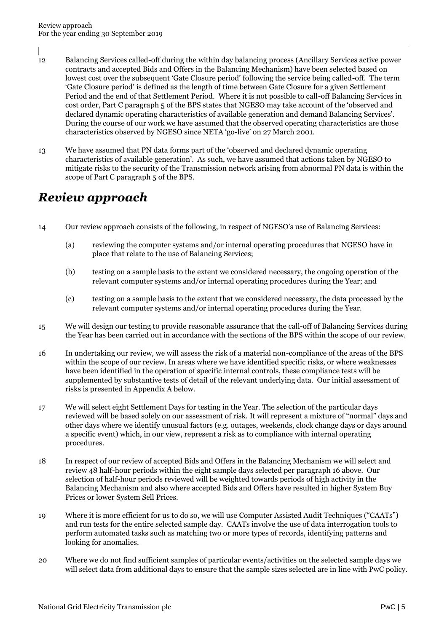- 12 Balancing Services called-off during the within day balancing process (Ancillary Services active power contracts and accepted Bids and Offers in the Balancing Mechanism) have been selected based on lowest cost over the subsequent 'Gate Closure period' following the service being called-off. The term 'Gate Closure period' is defined as the length of time between Gate Closure for a given Settlement Period and the end of that Settlement Period. Where it is not possible to call-off Balancing Services in cost order, Part C paragraph 5 of the BPS states that NGESO may take account of the 'observed and declared dynamic operating characteristics of available generation and demand Balancing Services'. During the course of our work we have assumed that the observed operating characteristics are those characteristics observed by NGESO since NETA 'go-live' on 27 March 2001.
- 13 We have assumed that PN data forms part of the 'observed and declared dynamic operating characteristics of available generation'. As such, we have assumed that actions taken by NGESO to mitigate risks to the security of the Transmission network arising from abnormal PN data is within the scope of Part C paragraph 5 of the BPS.

### <span id="page-7-0"></span>*Review approach*

- 14 Our review approach consists of the following, in respect of NGESO's use of Balancing Services:
	- (a) reviewing the computer systems and/or internal operating procedures that NGESO have in place that relate to the use of Balancing Services;
	- (b) testing on a sample basis to the extent we considered necessary, the ongoing operation of the relevant computer systems and/or internal operating procedures during the Year; and
	- (c) testing on a sample basis to the extent that we considered necessary, the data processed by the relevant computer systems and/or internal operating procedures during the Year.
- 15 We will design our testing to provide reasonable assurance that the call-off of Balancing Services during the Year has been carried out in accordance with the sections of the BPS within the scope of our review.
- 16 In undertaking our review, we will assess the risk of a material non-compliance of the areas of the BPS within the scope of our review. In areas where we have identified specific risks, or where weaknesses have been identified in the operation of specific internal controls, these compliance tests will be supplemented by substantive tests of detail of the relevant underlying data. Our initial assessment of risks is presented in Appendix A below.
- 17 We will select eight Settlement Days for testing in the Year. The selection of the particular days reviewed will be based solely on our assessment of risk. It will represent a mixture of "normal" days and other days where we identify unusual factors (e.g. outages, weekends, clock change days or days around a specific event) which, in our view, represent a risk as to compliance with internal operating procedures.
- 18 In respect of our review of accepted Bids and Offers in the Balancing Mechanism we will select and review 48 half-hour periods within the eight sample days selected per paragraph 16 above. Our selection of half-hour periods reviewed will be weighted towards periods of high activity in the Balancing Mechanism and also where accepted Bids and Offers have resulted in higher System Buy Prices or lower System Sell Prices.
- 19 Where it is more efficient for us to do so, we will use Computer Assisted Audit Techniques ("CAATs") and run tests for the entire selected sample day. CAATs involve the use of data interrogation tools to perform automated tasks such as matching two or more types of records, identifying patterns and looking for anomalies.
- 20 Where we do not find sufficient samples of particular events/activities on the selected sample days we will select data from additional days to ensure that the sample sizes selected are in line with PwC policy.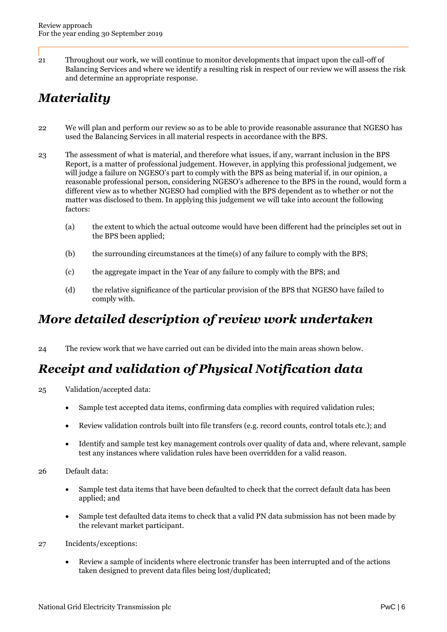21 Throughout our work, we will continue to monitor developments that impact upon the call-off of Balancing Services and where we identify a resulting risk in respect of our review we will assess the risk and determine an appropriate response.

## <span id="page-8-0"></span>*Materiality*

- 22 We will plan and perform our review so as to be able to provide reasonable assurance that NGESO has used the Balancing Services in all material respects in accordance with the BPS.
- 23 The assessment of what is material, and therefore what issues, if any, warrant inclusion in the BPS Report, is a matter of professional judgement. However, in applying this professional judgement, we will judge a failure on NGESO's part to comply with the BPS as being material if, in our opinion, a reasonable professional person, considering NGESO's adherence to the BPS in the round, would form a different view as to whether NGESO had complied with the BPS dependent as to whether or not the matter was disclosed to them. In applying this judgement we will take into account the following factors:
	- (a) the extent to which the actual outcome would have been different had the principles set out in the BPS been applied;
	- (b) the surrounding circumstances at the time(s) of any failure to comply with the BPS;
	- (c) the aggregate impact in the Year of any failure to comply with the BPS; and
	- (d) the relative significance of the particular provision of the BPS that NGESO have failed to comply with.

### <span id="page-8-1"></span>*More detailed description of review work undertaken*

24 The review work that we have carried out can be divided into the main areas shown below.

## <span id="page-8-2"></span>*Receipt and validation of Physical Notification data*

- 25 Validation/accepted data:
	- Sample test accepted data items, confirming data complies with required validation rules;
	- Review validation controls built into file transfers (e.g. record counts, control totals etc.); and
	- Identify and sample test key management controls over quality of data and, where relevant, sample test any instances where validation rules have been overridden for a valid reason.
- 26 Default data:
	- Sample test data items that have been defaulted to check that the correct default data has been applied; and
	- Sample test defaulted data items to check that a valid PN data submission has not been made by the relevant market participant.
- 27 Incidents/exceptions:
	- Review a sample of incidents where electronic transfer has been interrupted and of the actions taken designed to prevent data files being lost/duplicated;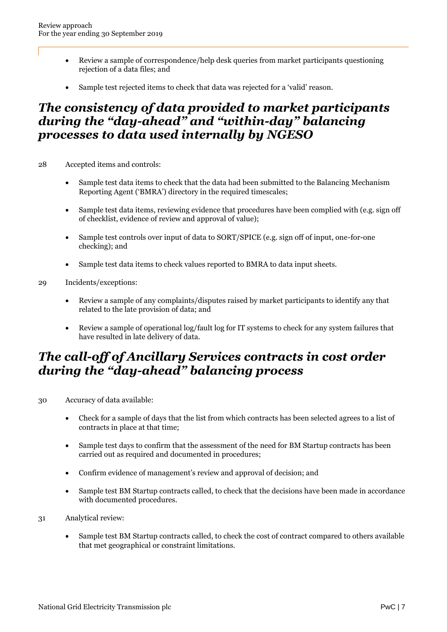- Review a sample of correspondence/help desk queries from market participants questioning rejection of a data files; and
- Sample test rejected items to check that data was rejected for a 'valid' reason.

### <span id="page-9-0"></span>*The consistency of data provided to market participants during the "day-ahead" and "within-day" balancing processes to data used internally by NGESO*

- 28 Accepted items and controls:
	- Sample test data items to check that the data had been submitted to the Balancing Mechanism Reporting Agent ('BMRA') directory in the required timescales;
	- Sample test data items, reviewing evidence that procedures have been complied with (e.g. sign off of checklist, evidence of review and approval of value);
	- Sample test controls over input of data to SORT/SPICE (e.g. sign off of input, one-for-one checking); and
	- Sample test data items to check values reported to BMRA to data input sheets.
- 29 Incidents/exceptions:
	- Review a sample of any complaints/disputes raised by market participants to identify any that related to the late provision of data; and
	- Review a sample of operational log/fault log for IT systems to check for any system failures that have resulted in late delivery of data.

### <span id="page-9-1"></span>*The call-off of Ancillary Services contracts in cost order during the "day-ahead" balancing process*

- 30 Accuracy of data available:
	- Check for a sample of days that the list from which contracts has been selected agrees to a list of contracts in place at that time;
	- Sample test days to confirm that the assessment of the need for BM Startup contracts has been carried out as required and documented in procedures;
	- Confirm evidence of management's review and approval of decision; and
	- Sample test BM Startup contracts called, to check that the decisions have been made in accordance with documented procedures.
- 31 Analytical review:
	- Sample test BM Startup contracts called, to check the cost of contract compared to others available that met geographical or constraint limitations.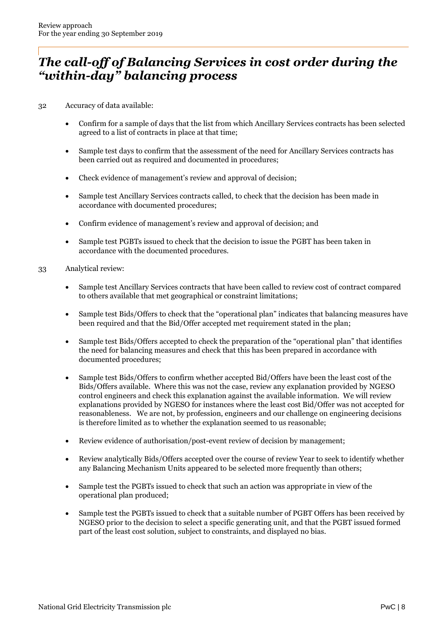### <span id="page-10-0"></span>*The call-off of Balancing Services in cost order during the "within-day" balancing process*

32 Accuracy of data available:

- Confirm for a sample of days that the list from which Ancillary Services contracts has been selected agreed to a list of contracts in place at that time;
- Sample test days to confirm that the assessment of the need for Ancillary Services contracts has been carried out as required and documented in procedures;
- Check evidence of management's review and approval of decision;
- Sample test Ancillary Services contracts called, to check that the decision has been made in accordance with documented procedures;
- Confirm evidence of management's review and approval of decision; and
- Sample test PGBTs issued to check that the decision to issue the PGBT has been taken in accordance with the documented procedures.
- 33 Analytical review:
	- Sample test Ancillary Services contracts that have been called to review cost of contract compared to others available that met geographical or constraint limitations;
	- Sample test Bids/Offers to check that the "operational plan" indicates that balancing measures have been required and that the Bid/Offer accepted met requirement stated in the plan;
	- Sample test Bids/Offers accepted to check the preparation of the "operational plan" that identifies the need for balancing measures and check that this has been prepared in accordance with documented procedures;
	- Sample test Bids/Offers to confirm whether accepted Bid/Offers have been the least cost of the Bids/Offers available. Where this was not the case, review any explanation provided by NGESO control engineers and check this explanation against the available information. We will review explanations provided by NGESO for instances where the least cost Bid/Offer was not accepted for reasonableness. We are not, by profession, engineers and our challenge on engineering decisions is therefore limited as to whether the explanation seemed to us reasonable;
	- Review evidence of authorisation/post-event review of decision by management;
	- Review analytically Bids/Offers accepted over the course of review Year to seek to identify whether any Balancing Mechanism Units appeared to be selected more frequently than others;
	- Sample test the PGBTs issued to check that such an action was appropriate in view of the operational plan produced;
	- Sample test the PGBTs issued to check that a suitable number of PGBT Offers has been received by NGESO prior to the decision to select a specific generating unit, and that the PGBT issued formed part of the least cost solution, subject to constraints, and displayed no bias.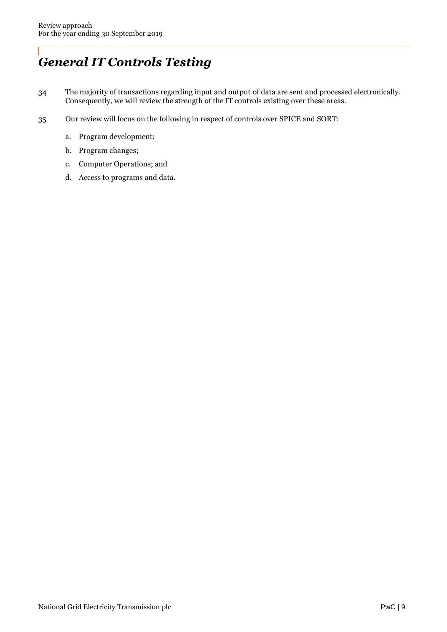# <span id="page-11-0"></span>*General IT Controls Testing*

- 34 The majority of transactions regarding input and output of data are sent and processed electronically. Consequently, we will review the strength of the IT controls existing over these areas.
- 35 Our review will focus on the following in respect of controls over SPICE and SORT:
	- a. Program development;
	- b. Program changes;
	- c. Computer Operations; and
	- d. Access to programs and data.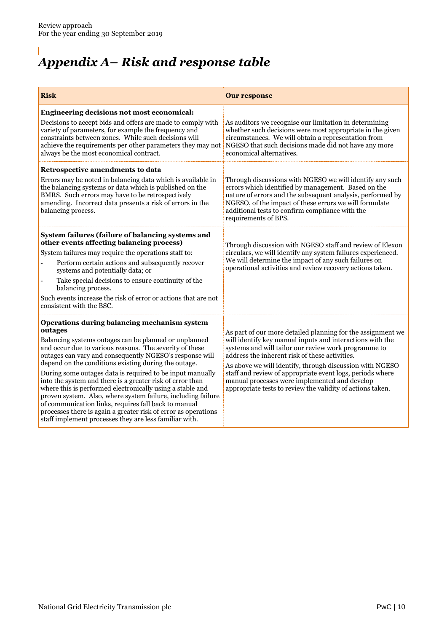# <span id="page-12-0"></span>*Appendix A– Risk and response table*

| <b>Risk</b>                                                                                                                                                                                                                                                                                                                                                                                                                                                                                                                                                                                                                                                                                                                               | <b>Our response</b>                                                                                                                                                                                                                                                                                                                                                                                                                                                        |
|-------------------------------------------------------------------------------------------------------------------------------------------------------------------------------------------------------------------------------------------------------------------------------------------------------------------------------------------------------------------------------------------------------------------------------------------------------------------------------------------------------------------------------------------------------------------------------------------------------------------------------------------------------------------------------------------------------------------------------------------|----------------------------------------------------------------------------------------------------------------------------------------------------------------------------------------------------------------------------------------------------------------------------------------------------------------------------------------------------------------------------------------------------------------------------------------------------------------------------|
| Engineering decisions not most economical:<br>Decisions to accept bids and offers are made to comply with<br>variety of parameters, for example the frequency and<br>constraints between zones. While such decisions will<br>achieve the requirements per other parameters they may not<br>always be the most economical contract.                                                                                                                                                                                                                                                                                                                                                                                                        | As auditors we recognise our limitation in determining<br>whether such decisions were most appropriate in the given<br>circumstances. We will obtain a representation from<br>NGESO that such decisions made did not have any more<br>economical alternatives.                                                                                                                                                                                                             |
| Retrospective amendments to data<br>Errors may be noted in balancing data which is available in<br>the balancing systems or data which is published on the<br>BMRS. Such errors may have to be retrospectively<br>amending. Incorrect data presents a risk of errors in the<br>balancing process.                                                                                                                                                                                                                                                                                                                                                                                                                                         | Through discussions with NGESO we will identify any such<br>errors which identified by management. Based on the<br>nature of errors and the subsequent analysis, performed by<br>NGESO, of the impact of these errors we will formulate<br>additional tests to confirm compliance with the<br>requirements of BPS.                                                                                                                                                         |
| System failures (failure of balancing systems and<br>other events affecting balancing process)<br>System failures may require the operations staff to:<br>Perform certain actions and subsequently recover<br>systems and potentially data; or<br>Take special decisions to ensure continuity of the<br>balancing process.<br>Such events increase the risk of error or actions that are not<br>consistent with the BSC.                                                                                                                                                                                                                                                                                                                  | Through discussion with NGESO staff and review of Elexon<br>circulars, we will identify any system failures experienced.<br>We will determine the impact of any such failures on<br>operational activities and review recovery actions taken.                                                                                                                                                                                                                              |
| Operations during balancing mechanism system<br>outages<br>Balancing systems outages can be planned or unplanned<br>and occur due to various reasons. The severity of these<br>outages can vary and consequently NGESO's response will<br>depend on the conditions existing during the outage.<br>During some outages data is required to be input manually<br>into the system and there is a greater risk of error than<br>where this is performed electronically using a stable and<br>proven system. Also, where system failure, including failure<br>of communication links, requires fall back to manual<br>processes there is again a greater risk of error as operations<br>staff implement processes they are less familiar with. | As part of our more detailed planning for the assignment we<br>will identify key manual inputs and interactions with the<br>systems and will tailor our review work programme to<br>address the inherent risk of these activities.<br>As above we will identify, through discussion with NGESO<br>staff and review of appropriate event logs, periods where<br>manual processes were implemented and develop<br>appropriate tests to review the validity of actions taken. |